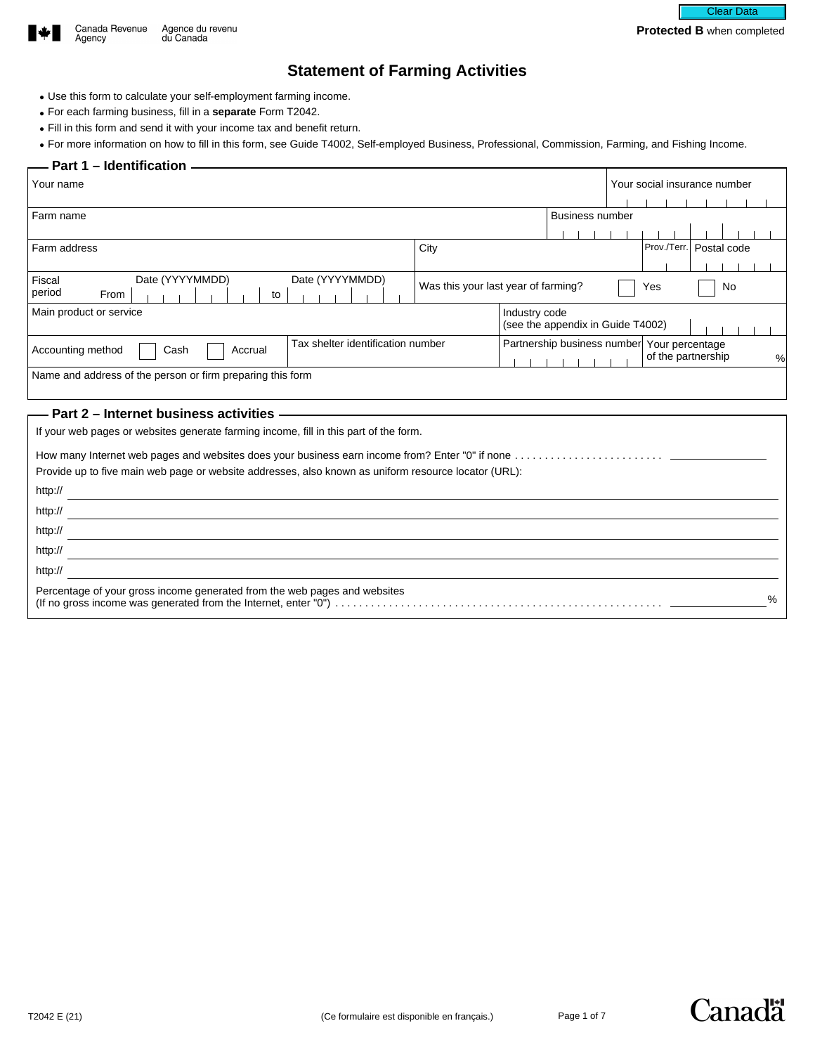

# **Statement of Farming Activities**

- Use this form to calculate your self-employment farming income.
- For each farming business, fill in a **separate** Form T2042.
- Fill in this form and send it with your income tax and benefit return.
- For more information on how to fill in this form, see Guide T4002, Self-employed Business, Professional, Commission, Farming, and Fishing Income.

#### **Part 1 – Identification -**

| Your name                                                                                                                                                                                                                          |  |                                     |               |                                             |  | Your social insurance number |                           |    |   |
|------------------------------------------------------------------------------------------------------------------------------------------------------------------------------------------------------------------------------------|--|-------------------------------------|---------------|---------------------------------------------|--|------------------------------|---------------------------|----|---|
|                                                                                                                                                                                                                                    |  |                                     |               |                                             |  |                              |                           |    |   |
| Farm name                                                                                                                                                                                                                          |  |                                     |               | <b>Business number</b>                      |  |                              |                           |    |   |
|                                                                                                                                                                                                                                    |  |                                     |               |                                             |  |                              |                           |    |   |
| Farm address                                                                                                                                                                                                                       |  | City                                |               |                                             |  |                              | Prov./Terr.   Postal code |    |   |
|                                                                                                                                                                                                                                    |  |                                     |               |                                             |  |                              |                           |    |   |
| Date (YYYYMMDD)<br>Date (YYYYMMDD)<br>Fiscal                                                                                                                                                                                       |  | Was this your last year of farming? |               |                                             |  | Yes                          |                           | No |   |
| period<br><b>From</b><br>to                                                                                                                                                                                                        |  |                                     |               |                                             |  |                              |                           |    |   |
| Main product or service                                                                                                                                                                                                            |  |                                     | Industry code | (see the appendix in Guide T4002)           |  |                              |                           |    |   |
| Tax shelter identification number                                                                                                                                                                                                  |  |                                     |               | Partnership business number Your percentage |  |                              |                           |    |   |
| Accounting method<br>Accrual<br>Cash                                                                                                                                                                                               |  |                                     |               |                                             |  |                              | of the partnership        |    | % |
| Name and address of the person or firm preparing this form                                                                                                                                                                         |  |                                     |               |                                             |  |                              |                           |    |   |
|                                                                                                                                                                                                                                    |  |                                     |               |                                             |  |                              |                           |    |   |
| Part 2 - Internet business activities -                                                                                                                                                                                            |  |                                     |               |                                             |  |                              |                           |    |   |
| If your web pages or websites generate farming income, fill in this part of the form.                                                                                                                                              |  |                                     |               |                                             |  |                              |                           |    |   |
|                                                                                                                                                                                                                                    |  |                                     |               |                                             |  |                              |                           |    |   |
|                                                                                                                                                                                                                                    |  |                                     |               |                                             |  |                              |                           |    |   |
| Provide up to five main web page or website addresses, also known as uniform resource locator (URL):                                                                                                                               |  |                                     |               |                                             |  |                              |                           |    |   |
| http://                                                                                                                                                                                                                            |  |                                     |               |                                             |  |                              |                           |    |   |
| http://                                                                                                                                                                                                                            |  |                                     |               |                                             |  |                              |                           |    |   |
| http://                                                                                                                                                                                                                            |  |                                     |               |                                             |  |                              |                           |    |   |
| http://                                                                                                                                                                                                                            |  |                                     |               |                                             |  |                              |                           |    |   |
| http://                                                                                                                                                                                                                            |  |                                     |               |                                             |  |                              |                           |    |   |
| $\mathcal{L}$ . The contract of the contract of the contract of the contract of the contract of the contract of the contract of the contract of the contract of the contract of the contract of the contract of the contract of th |  |                                     |               |                                             |  |                              |                           |    |   |

Percentage of your gross income generated from the web pages and websites (If no gross income was generated from the Internet, enter "0") . . . . . . . . . . . . . . . . . . . . . . . . . . . . . . . . . . . . . . . . . . . . . . . . . . . . . . . %

Canadä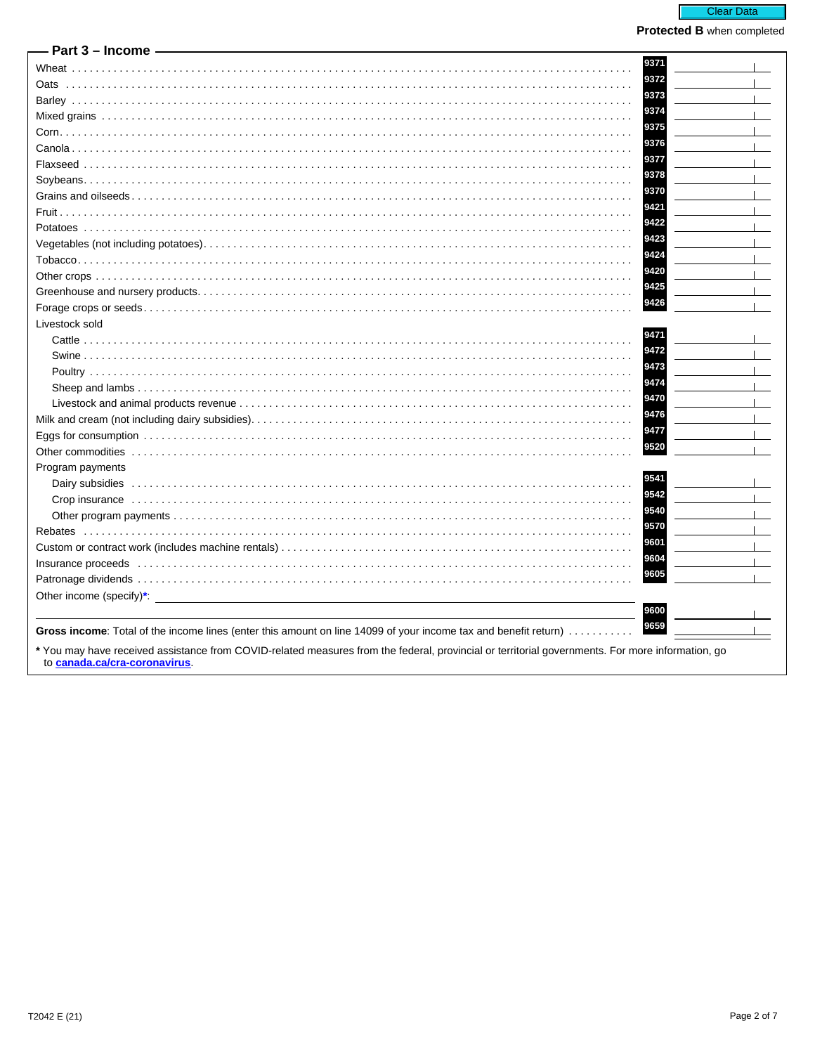| - Part 3 – Income                                                                                                                                                                                                              |      |
|--------------------------------------------------------------------------------------------------------------------------------------------------------------------------------------------------------------------------------|------|
|                                                                                                                                                                                                                                | 9371 |
|                                                                                                                                                                                                                                | 9372 |
|                                                                                                                                                                                                                                | 9373 |
|                                                                                                                                                                                                                                | 9374 |
|                                                                                                                                                                                                                                | 9375 |
|                                                                                                                                                                                                                                | 9376 |
|                                                                                                                                                                                                                                | 9377 |
|                                                                                                                                                                                                                                | 9378 |
|                                                                                                                                                                                                                                | 9370 |
|                                                                                                                                                                                                                                | 9421 |
|                                                                                                                                                                                                                                | 9422 |
|                                                                                                                                                                                                                                | 9423 |
|                                                                                                                                                                                                                                | 9424 |
|                                                                                                                                                                                                                                | 9420 |
|                                                                                                                                                                                                                                | 9425 |
|                                                                                                                                                                                                                                | 9426 |
| Livestock sold                                                                                                                                                                                                                 |      |
|                                                                                                                                                                                                                                | 9471 |
|                                                                                                                                                                                                                                | 9472 |
|                                                                                                                                                                                                                                | 9473 |
|                                                                                                                                                                                                                                | 9474 |
|                                                                                                                                                                                                                                | 9470 |
|                                                                                                                                                                                                                                | 9476 |
|                                                                                                                                                                                                                                | 9477 |
|                                                                                                                                                                                                                                | 9520 |
|                                                                                                                                                                                                                                |      |
| Program payments                                                                                                                                                                                                               | 9541 |
|                                                                                                                                                                                                                                | 9542 |
|                                                                                                                                                                                                                                | 9540 |
|                                                                                                                                                                                                                                | 9570 |
|                                                                                                                                                                                                                                | 9601 |
|                                                                                                                                                                                                                                | 9604 |
| Insurance proceeds interactive contact the control of the control of the control of the control of the control of the control of the control of the control of the control of the control of the control of the control of the |      |
|                                                                                                                                                                                                                                | 9605 |
| Other income (specify)*:                                                                                                                                                                                                       |      |
|                                                                                                                                                                                                                                | 9600 |
| Gross income: Total of the income lines (enter this amount on line 14099 of your income tax and benefit return)                                                                                                                | 9659 |
| * You may have received assistance from COVID-related measures from the federal, provincial or territorial governments. For more information, go<br>to canada.ca/cra-coronavirus.                                              |      |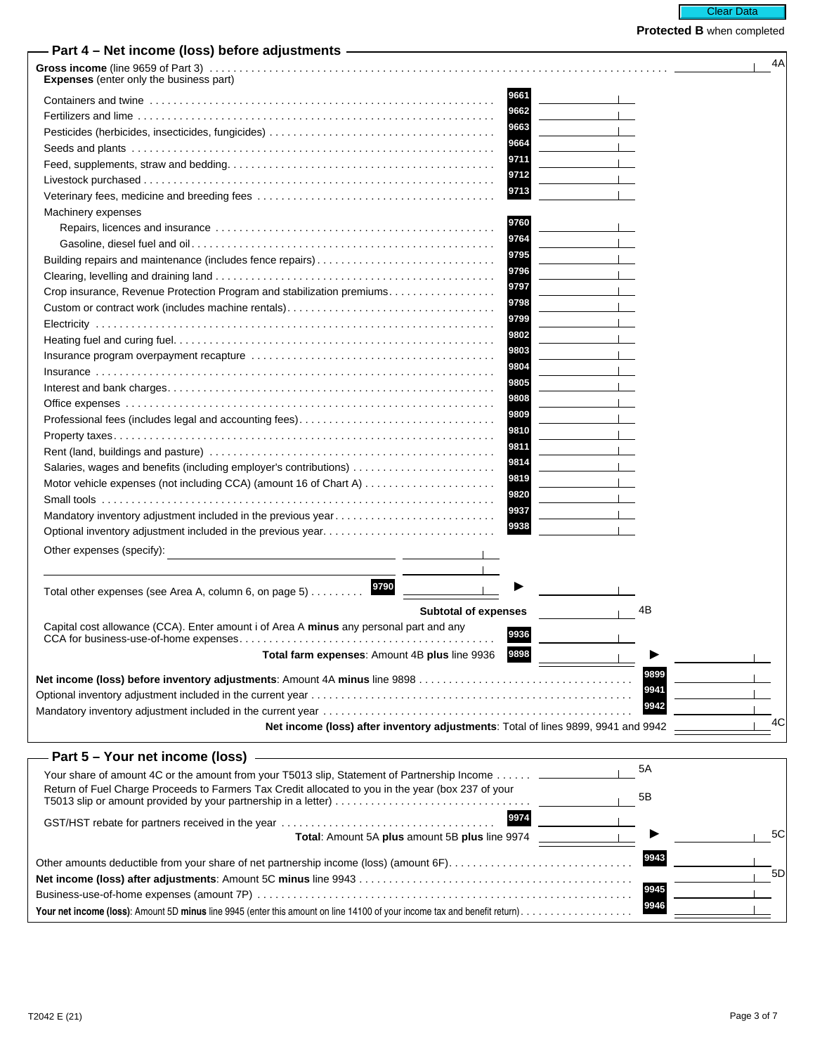# **Protected B** when completed

| - Part 4 – Net income (loss) before adjustments —                                                  |                                                                                   |      | 4A |
|----------------------------------------------------------------------------------------------------|-----------------------------------------------------------------------------------|------|----|
| Expenses (enter only the business part)                                                            |                                                                                   |      |    |
|                                                                                                    | 9661                                                                              |      |    |
|                                                                                                    | 9662                                                                              |      |    |
|                                                                                                    | 9663                                                                              |      |    |
|                                                                                                    | 9664                                                                              |      |    |
|                                                                                                    | 9711                                                                              |      |    |
|                                                                                                    | 9712                                                                              |      |    |
|                                                                                                    | 9713                                                                              |      |    |
| Machinery expenses                                                                                 |                                                                                   |      |    |
|                                                                                                    | 9760                                                                              |      |    |
|                                                                                                    | 9764                                                                              |      |    |
| Building repairs and maintenance (includes fence repairs)                                          | 9795                                                                              |      |    |
|                                                                                                    | 9796                                                                              |      |    |
|                                                                                                    | 9797                                                                              |      |    |
| Crop insurance, Revenue Protection Program and stabilization premiums                              | 9798                                                                              |      |    |
|                                                                                                    | 9799                                                                              |      |    |
|                                                                                                    | 9802                                                                              |      |    |
|                                                                                                    | 9803                                                                              |      |    |
|                                                                                                    | 9804                                                                              |      |    |
|                                                                                                    | 9805                                                                              |      |    |
|                                                                                                    | 9808                                                                              |      |    |
|                                                                                                    | 9809                                                                              |      |    |
| Professional fees (includes legal and accounting fees)                                             | 9810                                                                              |      |    |
|                                                                                                    | 9811                                                                              |      |    |
|                                                                                                    | 9814                                                                              |      |    |
| Salaries, wages and benefits (including employer's contributions)                                  | 9819                                                                              |      |    |
| Motor vehicle expenses (not including CCA) (amount 16 of Chart A)                                  | 9820                                                                              |      |    |
|                                                                                                    | 9937                                                                              |      |    |
| Mandatory inventory adjustment included in the previous year                                       | 9938                                                                              |      |    |
| Optional inventory adjustment included in the previous year                                        |                                                                                   |      |    |
| Other expenses (specify):<br><u> 1980 - Jan Stein Bernstein, fransk politiker (</u>                |                                                                                   |      |    |
|                                                                                                    |                                                                                   |      |    |
| 9790                                                                                               |                                                                                   |      |    |
| Total other expenses (see Area A, column 6, on page 5)                                             |                                                                                   |      |    |
|                                                                                                    | <b>Subtotal of expenses</b>                                                       | 4B   |    |
| Capital cost allowance (CCA). Enter amount i of Area A minus any personal part and any             | 9936                                                                              |      |    |
| CCA for business-use-of-home expenses                                                              | 9898                                                                              |      |    |
| Total farm expenses: Amount 4B plus line 9936                                                      |                                                                                   |      |    |
|                                                                                                    |                                                                                   | 9899 |    |
|                                                                                                    |                                                                                   | 9941 |    |
|                                                                                                    |                                                                                   | 9942 |    |
|                                                                                                    | Net income (loss) after inventory adjustments: Total of lines 9899, 9941 and 9942 |      | 4C |
|                                                                                                    |                                                                                   |      |    |
| Part 5 – Your net income (loss)                                                                    |                                                                                   |      |    |
| Your share of amount 4C or the amount from your T5013 slip, Statement of Partnership Income        |                                                                                   | 5A   |    |
| Return of Fuel Charge Proceeds to Farmers Tax Credit allocated to you in the year (box 237 of your |                                                                                   |      |    |
|                                                                                                    |                                                                                   | 5Β   |    |
|                                                                                                    | 9974                                                                              |      |    |
| Total: Amount 5A plus amount 5B plus line 9974                                                     |                                                                                   |      | 5C |
|                                                                                                    |                                                                                   | 9943 |    |
| Other amounts deductible from your share of net partnership income (loss) (amount 6F)              |                                                                                   |      | 5D |
|                                                                                                    |                                                                                   |      |    |

**<sup>9945</sup>** Business-use-of-home expenses (amount 7P) . . . . . . . . . . . . . . . . . . . . . . . . . . . . . . . . . . . . . . . . . . . . . . . . . . . . . . . . . . . . . . . **<sup>9946</sup> Your net income (loss)**: Amount 5D **minus** line 9945 (enter this amount on line 14100 of your income tax and benefit return). . . . . . . . . . . . . . . . . . .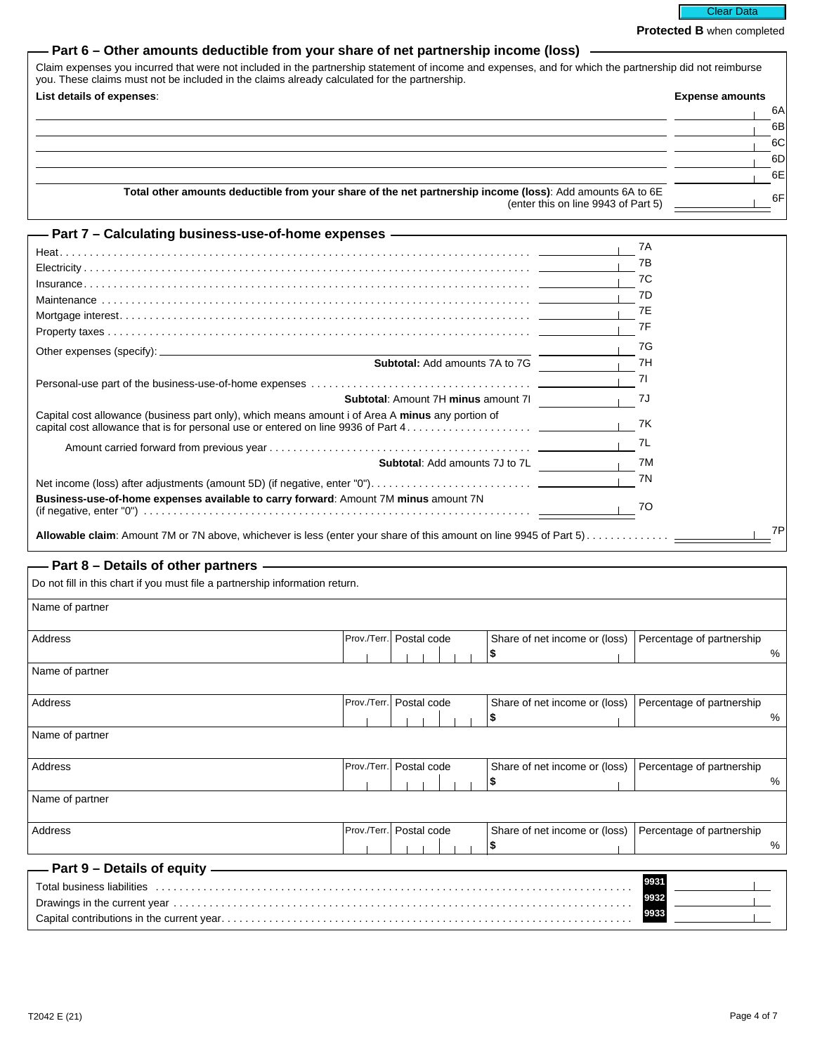Clear Data

**Protected B** when completed

| - Part 6 – Other amounts deductible from your share of net partnership income (loss) |  |  |  |  |
|--------------------------------------------------------------------------------------|--|--|--|--|
|--------------------------------------------------------------------------------------|--|--|--|--|

| Claim expenses you incurred that were not included in the partnership statement of income and expenses, and for which the partnership did not reimburse<br>you. These claims must not be included in the claims already calculated for the partnership. |                        |
|---------------------------------------------------------------------------------------------------------------------------------------------------------------------------------------------------------------------------------------------------------|------------------------|
| List details of expenses:                                                                                                                                                                                                                               | <b>Expense amounts</b> |
|                                                                                                                                                                                                                                                         | 6A                     |
|                                                                                                                                                                                                                                                         | 6B                     |
|                                                                                                                                                                                                                                                         | 6C                     |
|                                                                                                                                                                                                                                                         | 6DI                    |
|                                                                                                                                                                                                                                                         | 6E                     |
| Total other amounts deductible from your share of the net partnership income (loss): Add amounts 6A to 6E<br>(enter this on line 9943 of Part 5)                                                                                                        | 6F                     |

| — Part 7 – Calculating business-use-of-home expenses ———————————————                             |     |
|--------------------------------------------------------------------------------------------------|-----|
|                                                                                                  | 7A  |
|                                                                                                  | 7B  |
|                                                                                                  | 7C  |
|                                                                                                  | 7D  |
|                                                                                                  | 7E  |
|                                                                                                  | 7F  |
|                                                                                                  | 7G  |
| Subtotal: Add amounts 7A to 7G                                                                   | 7H  |
|                                                                                                  | -71 |
| <b>Subtotal: Amount 7H minus amount 7I</b>                                                       | 7J  |
| Capital cost allowance (business part only), which means amount i of Area A minus any portion of | 7K  |
|                                                                                                  | 7L  |
| <b>Subtotal:</b> Add amounts 7J to 7L                                                            | 7M  |
|                                                                                                  | 7N  |
| Business-use-of-home expenses available to carry forward: Amount 7M minus amount 7N              | 70  |
|                                                                                                  | 7P  |

### **Part 8 – Details of other partners**

| Do not fill in this chart if you must file a partnership information return.                                                                                                                                                   |  |                           |  |                               |                           |      |
|--------------------------------------------------------------------------------------------------------------------------------------------------------------------------------------------------------------------------------|--|---------------------------|--|-------------------------------|---------------------------|------|
| Name of partner                                                                                                                                                                                                                |  |                           |  |                               |                           |      |
| Address                                                                                                                                                                                                                        |  | Prov./Terr.   Postal code |  | Share of net income or (loss) | Percentage of partnership |      |
| Name of partner                                                                                                                                                                                                                |  |                           |  |                               |                           | $\%$ |
|                                                                                                                                                                                                                                |  |                           |  |                               |                           |      |
| Address                                                                                                                                                                                                                        |  | Prov./Terr. Postal code   |  | Share of net income or (loss) | Percentage of partnership |      |
|                                                                                                                                                                                                                                |  |                           |  | \$                            |                           | $\%$ |
| Name of partner                                                                                                                                                                                                                |  |                           |  |                               |                           |      |
| Address                                                                                                                                                                                                                        |  | Prov./Terr.   Postal code |  | Share of net income or (loss) | Percentage of partnership |      |
|                                                                                                                                                                                                                                |  |                           |  | S                             |                           | $\%$ |
| Name of partner                                                                                                                                                                                                                |  |                           |  |                               |                           |      |
| Address                                                                                                                                                                                                                        |  | Prov./Terr.   Postal code |  | Share of net income or (loss) | Percentage of partnership |      |
|                                                                                                                                                                                                                                |  |                           |  |                               |                           | %    |
| Part 9 - Details of equity -                                                                                                                                                                                                   |  |                           |  |                               |                           |      |
| Total business liabilities (all contact all contact all contact all contact all contact all contact all contact all contact all contact all contact all contact all contact all contact all contact all contact all contact al |  |                           |  |                               | 9931                      |      |
|                                                                                                                                                                                                                                |  |                           |  |                               | 9932                      |      |
|                                                                                                                                                                                                                                |  |                           |  |                               | 9933                      |      |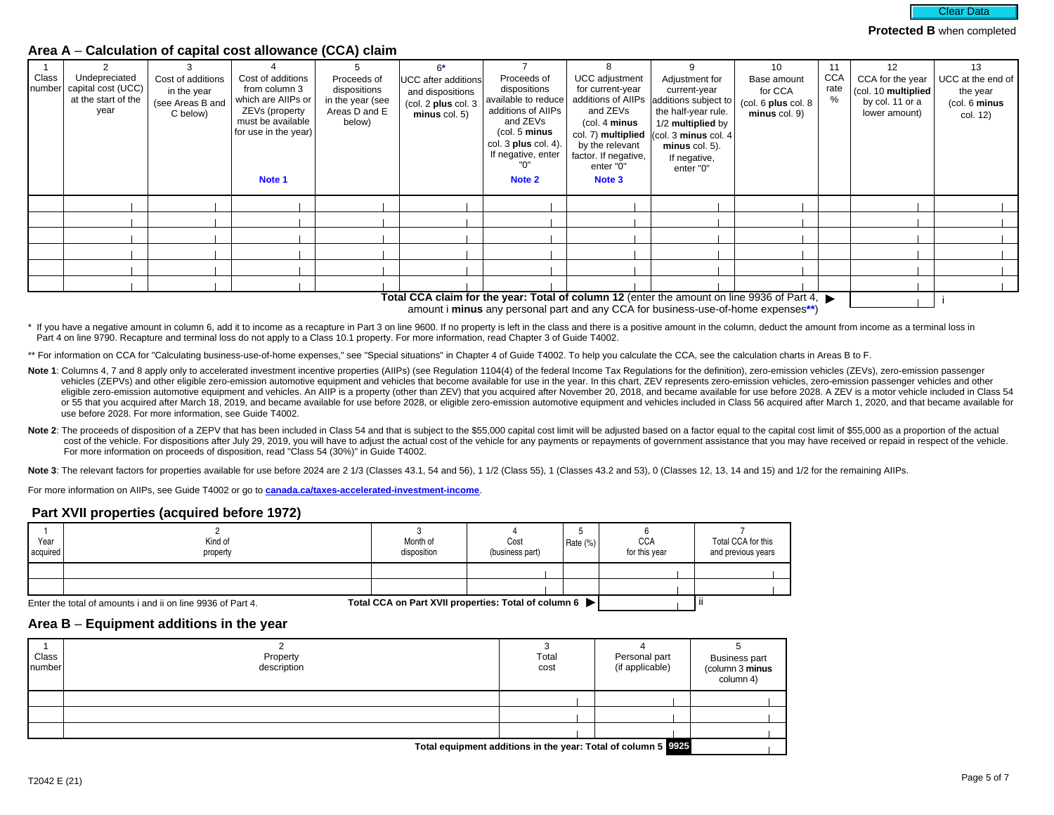

#### **Area A** – **Calculation of capital cost allowance (CCA) claim**

| Class | Undepreciated<br>number   capital cost (UCC)<br>at the start of the<br>year | Cost of additions<br>in the year<br>(see Areas B and<br>C below) | Cost of additions<br>from column 3<br>which are AllPs or<br>ZEVs (property<br>must be available<br>for use in the year)<br>Note 1 | Proceeds of<br>dispositions<br>in the year (see<br>Areas D and E<br>below) | $6*$<br>UCC after additions<br>and dispositions<br>(col. 2 plus col. 3)<br>$minus$ col. 5) | Proceeds of<br>dispositions<br>available to reduce<br>additions of AIIPs<br>and ZEVs<br>(col. 5 minus<br>col. $3$ plus col. $4$ ).<br>If negative, enter<br>"በ"<br>Note 2 | <b>UCC</b> adjustment<br>for current-year<br>additions of AllPs<br>and ZEVs<br>(col. 4 minus<br>col. 7) multiplied<br>by the relevant<br>factor. If negative,<br>enter "0"<br>Note 3 | Adjustment for<br>current-year<br>additions subject to<br>the half-year rule.<br>1/2 multiplied by<br>$ $ (col. 3 minus col. 4<br>$minus$ col. 5).<br>If negative,<br>enter "0"                                                                       | 10<br>Base amount<br>for CCA<br>$\left(\text{col. }6\text{ plus col. }8\right)$<br>minus col. 9) | 11<br><b>CCA</b><br>rate | 12<br>CCA for the year<br>(col. 10 multiplied<br>by col. 11 or a<br>lower amount) | 13<br>$UCC$ at the end of<br>the year<br>(col. 6 minus<br>col. 12) |
|-------|-----------------------------------------------------------------------------|------------------------------------------------------------------|-----------------------------------------------------------------------------------------------------------------------------------|----------------------------------------------------------------------------|--------------------------------------------------------------------------------------------|---------------------------------------------------------------------------------------------------------------------------------------------------------------------------|--------------------------------------------------------------------------------------------------------------------------------------------------------------------------------------|-------------------------------------------------------------------------------------------------------------------------------------------------------------------------------------------------------------------------------------------------------|--------------------------------------------------------------------------------------------------|--------------------------|-----------------------------------------------------------------------------------|--------------------------------------------------------------------|
|       |                                                                             |                                                                  |                                                                                                                                   |                                                                            |                                                                                            |                                                                                                                                                                           |                                                                                                                                                                                      |                                                                                                                                                                                                                                                       |                                                                                                  |                          |                                                                                   |                                                                    |
|       |                                                                             |                                                                  |                                                                                                                                   |                                                                            |                                                                                            |                                                                                                                                                                           |                                                                                                                                                                                      |                                                                                                                                                                                                                                                       |                                                                                                  |                          |                                                                                   |                                                                    |
|       |                                                                             |                                                                  |                                                                                                                                   |                                                                            |                                                                                            |                                                                                                                                                                           |                                                                                                                                                                                      |                                                                                                                                                                                                                                                       |                                                                                                  |                          |                                                                                   |                                                                    |
|       |                                                                             |                                                                  |                                                                                                                                   |                                                                            |                                                                                            |                                                                                                                                                                           |                                                                                                                                                                                      |                                                                                                                                                                                                                                                       |                                                                                                  |                          |                                                                                   |                                                                    |
|       |                                                                             |                                                                  |                                                                                                                                   |                                                                            |                                                                                            |                                                                                                                                                                           |                                                                                                                                                                                      |                                                                                                                                                                                                                                                       |                                                                                                  |                          |                                                                                   |                                                                    |
|       |                                                                             |                                                                  |                                                                                                                                   |                                                                            |                                                                                            |                                                                                                                                                                           |                                                                                                                                                                                      | $\pm$ and $\pm$ 0.0 $\pm$ 0.0 $\pm$ 0.0 $\pm$ 0.0 $\pm$ 0.0 $\pm$ 0.0 $\pm$ 0.0 $\pm$ 0.0 $\pm$ 0.0 $\pm$ 0.0 $\pm$ 0.0 $\pm$ 0.0 $\pm$ 0.0 $\pm$ 0.0 $\pm$ 0.0 $\pm$ 0.0 $\pm$ 0.0 $\pm$ 0.0 $\pm$ 0.0 $\pm$ 0.0 $\pm$ 0.0 $\pm$ 0.0 $\pm$ 0.0 $\pm$ |                                                                                                  |                          |                                                                                   |                                                                    |

Total CCA claim for the year: Total of column 12 (enter the amount on line 9936 of Part 4, ▶ │ │ │ │ amount i **minus** any personal part and any CCA for business-use-of-home expenses**\*\***)

\* If you have a negative amount in column 6, add it to income as a recapture in Part 3 on line 9600. If no property is left in the class and there is a positive amount in the column, deduct the amount from income as a term Part 4 on line 9790. Recapture and terminal loss do not apply to a Class 10.1 property. For more information, read Chapter 3 of Guide T4002.

\*\* For information on CCA for "Calculating business-use-of-home expenses," see "Special situations" in Chapter 4 of Guide T4002. To help you calculate the CCA, see the calculation charts in Areas B to F.

- Note 1: Columns 4, 7 and 8 apply only to accelerated investment incentive properties (AIIPs) (see Regulation 1104(4) of the federal Income Tax Regulations for the definition), zero-emission vehicles (ZEVs), zero-emission p vehicles (ZEPVs) and other eligible zero-emission automotive equipment and vehicles that become available for use in the year. In this chart, ZEV represents zero-emission vehicles, zero-emission passenger vehicles and othe eligible zero-emission automotive equipment and vehicles. An AIIP is a property (other than ZEV) that you acquired after November 20, 2018, and became available for use before 2028. A ZEV is a motor vehicle included in Cla or 55 that you acquired after March 18, 2019, and became available for use before 2028, or eligible zero-emission automotive equipment and vehicles included in Class 56 acquired after March 1, 2020, and that became availab use before 2028. For more information, see Guide T4002.
- Note 2: The proceeds of disposition of a ZEPV that has been included in Class 54 and that is subject to the \$55,000 capital cost limit will be adjusted based on a factor equal to the capital cost limit of \$55,000 as a prop cost of the vehicle. For dispositions after July 29, 2019, you will have to adjust the actual cost of the vehicle for any payments or repayments of government assistance that you may have received or repaid in respect of t For more information on proceeds of disposition, read "Class 54 (30%)" in Guide T4002.

Note 3: The relevant factors for properties available for use before 2024 are 2 1/3 (Classes 43.1, 54 and 56), 1 1/2 (Classes 43.1, 1 (Classes 43.2 and 53), 0 (Classes 12, 13, 14 and 15) and 1/2 for the remaining AIIPs.

For more information on AIIPs, see Guide T4002 or go to **[canada.ca/taxes-accelerated-investment-income](https://www.canada.ca/en/revenue-agency/services/tax/businesses/topics/sole-proprietorships-partnerships/report-business-income-expenses/claiming-capital-cost-allowance/accelerated-investment-incentive.html?utm_campaign=not-applicable&utm_medium=vanity-url&utm_source=canada-ca_taxes-accelerated-investment-income)**.

#### **Part XVII properties (acquired before 1972)**

| Year<br>acquired | Kind of<br>property                                         | Month of<br>disposition                                | Cost<br>(business part) | Rate $(\%)$ | <b>CCA</b><br>for this year | Total CCA for this<br>and previous years |
|------------------|-------------------------------------------------------------|--------------------------------------------------------|-------------------------|-------------|-----------------------------|------------------------------------------|
|                  |                                                             |                                                        |                         |             |                             |                                          |
|                  |                                                             |                                                        |                         |             |                             |                                          |
|                  | Enter the total of amounts i and ii on line 9936 of Part 4. | Total CCA on Part XVII properties: Total of column 6 ▶ |                         |             |                             |                                          |

# **Area B** – **Equipment additions in the year**

| Class<br>Inumber | Property<br>description                                        | Total<br>cost | Personal part<br>(if applicable) | <b>Business part</b><br>(column 3 minus<br>column 4) |  |
|------------------|----------------------------------------------------------------|---------------|----------------------------------|------------------------------------------------------|--|
|                  |                                                                |               |                                  |                                                      |  |
|                  |                                                                |               |                                  |                                                      |  |
|                  |                                                                |               |                                  |                                                      |  |
|                  | Total couldnmant additions in the veasy Total of column E 0025 |               |                                  |                                                      |  |

**Total equipment additions in the year: Total of column 5 |**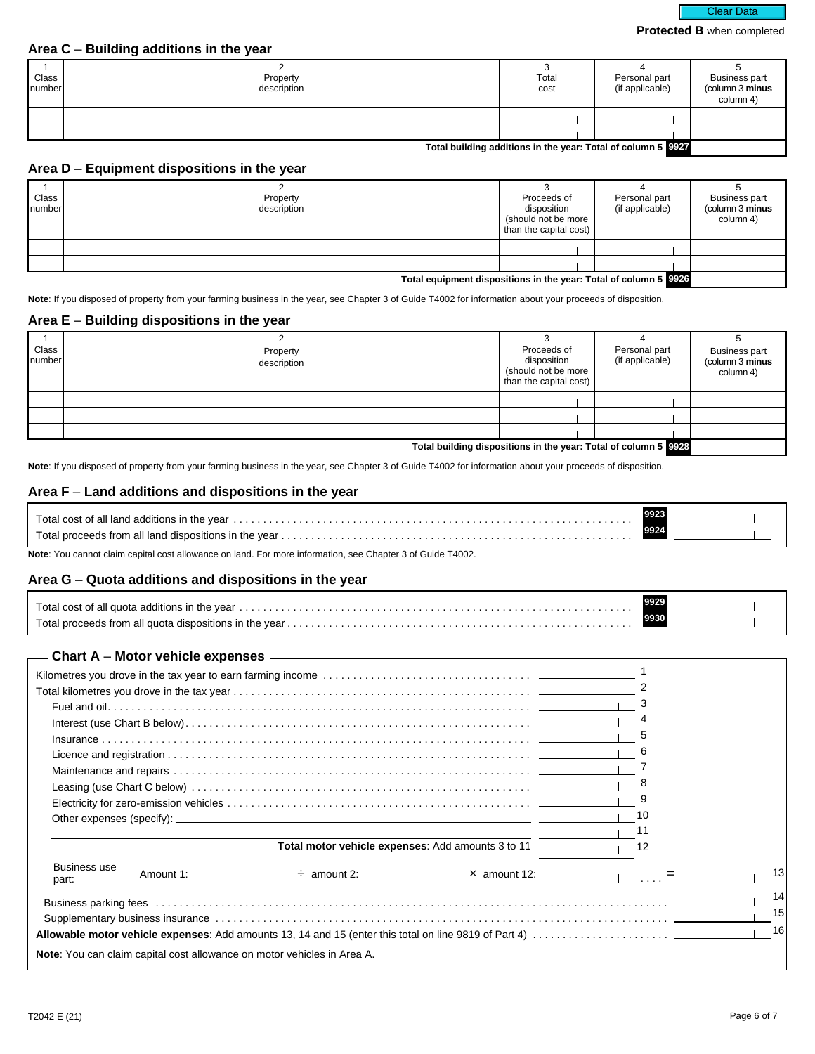### **Protected B** when completed

#### **Area C** – **Building additions in the year**

| Class<br>number | Property<br>description | Total<br>cost | Personal part<br>(if applicable) | <b>Business part</b><br>(column 3 minus<br>column 4) |
|-----------------|-------------------------|---------------|----------------------------------|------------------------------------------------------|
|                 |                         |               |                                  |                                                      |
|                 |                         |               |                                  |                                                      |

### **Total building additions in the year: Total of column 5 9927**

## **Area D** – **Equipment dispositions in the year**

| Class<br>Inumber | Property<br>description                                          | Proceeds of<br>disposition<br>(should not be more<br>than the capital cost) | Personal part<br>(if applicable) | <b>Business part</b><br>(column 3 minus<br>column 4) |
|------------------|------------------------------------------------------------------|-----------------------------------------------------------------------------|----------------------------------|------------------------------------------------------|
|                  |                                                                  |                                                                             |                                  |                                                      |
|                  |                                                                  |                                                                             |                                  |                                                      |
|                  | Total equipment dispositions in the year: Total of column 5 9926 |                                                                             |                                  |                                                      |

**Note**: If you disposed of property from your farming business in the year, see Chapter 3 of Guide T4002 for information about your proceeds of disposition.

#### **Area E** – **Building dispositions in the year**

| Class<br>number                                                 | Property<br>description | Proceeds of<br>disposition<br>(should not be more<br>than the capital cost) | Personal part<br>(if applicable) | <b>Business part</b><br>(column 3 minus<br>column 4) |
|-----------------------------------------------------------------|-------------------------|-----------------------------------------------------------------------------|----------------------------------|------------------------------------------------------|
|                                                                 |                         |                                                                             |                                  |                                                      |
|                                                                 |                         |                                                                             |                                  |                                                      |
|                                                                 |                         |                                                                             |                                  |                                                      |
| Total building dispositions in the year: Total of column 5 9928 |                         |                                                                             |                                  |                                                      |

**Note**: If you disposed of property from your farming business in the year, see Chapter 3 of Guide T4002 for information about your proceeds of disposition.

#### **Area F** – **Land additions and dispositions in the year**

**Note**: You cannot claim capital cost allowance on land. For more information, see Chapter 3 of Guide T4002.

#### **Area G** – **Quota additions and dispositions in the year**

| Total proceeds from all quota dispositions in the year $\ldots$ , $\ldots$ , $\ldots$ , $\ldots$ , $\ldots$ , $\ldots$ , $\ldots$ , $\ldots$ , $\ldots$ , $\ldots$ , $\ldots$ , $\ldots$ |  |  |
|------------------------------------------------------------------------------------------------------------------------------------------------------------------------------------------|--|--|

# **Chart A** – **Motor vehicle expenses**

|                              | 8         |                                                                                                                                                                                                                                |                                               |     |    |  |
|------------------------------|-----------|--------------------------------------------------------------------------------------------------------------------------------------------------------------------------------------------------------------------------------|-----------------------------------------------|-----|----|--|
|                              |           |                                                                                                                                                                                                                                |                                               |     |    |  |
|                              |           |                                                                                                                                                                                                                                |                                               | 10  |    |  |
|                              |           |                                                                                                                                                                                                                                |                                               | 11  |    |  |
|                              |           | Total motor vehicle expenses: Add amounts 3 to 11                                                                                                                                                                              |                                               | -12 |    |  |
| <b>Business use</b><br>part: | Amount 1: |                                                                                                                                                                                                                                | $\div$ amount 2: $\angle$ $\times$ amount 12: |     | 13 |  |
|                              |           | Business parking fees with the content of the content of the content of the content of the content of the content of the content of the content of the content of the content of the content of the content of the content of  |                                               |     | 14 |  |
|                              |           | Supplementary business insurance contact the contract of the contract of the contract of the contract of the contract of the contract of the contract of the contract of the contract of the contract of the contract of the c |                                               |     | 15 |  |
|                              |           |                                                                                                                                                                                                                                |                                               |     |    |  |
|                              |           | Note: You can claim capital cost allowance on motor vehicles in Area A.                                                                                                                                                        |                                               |     |    |  |